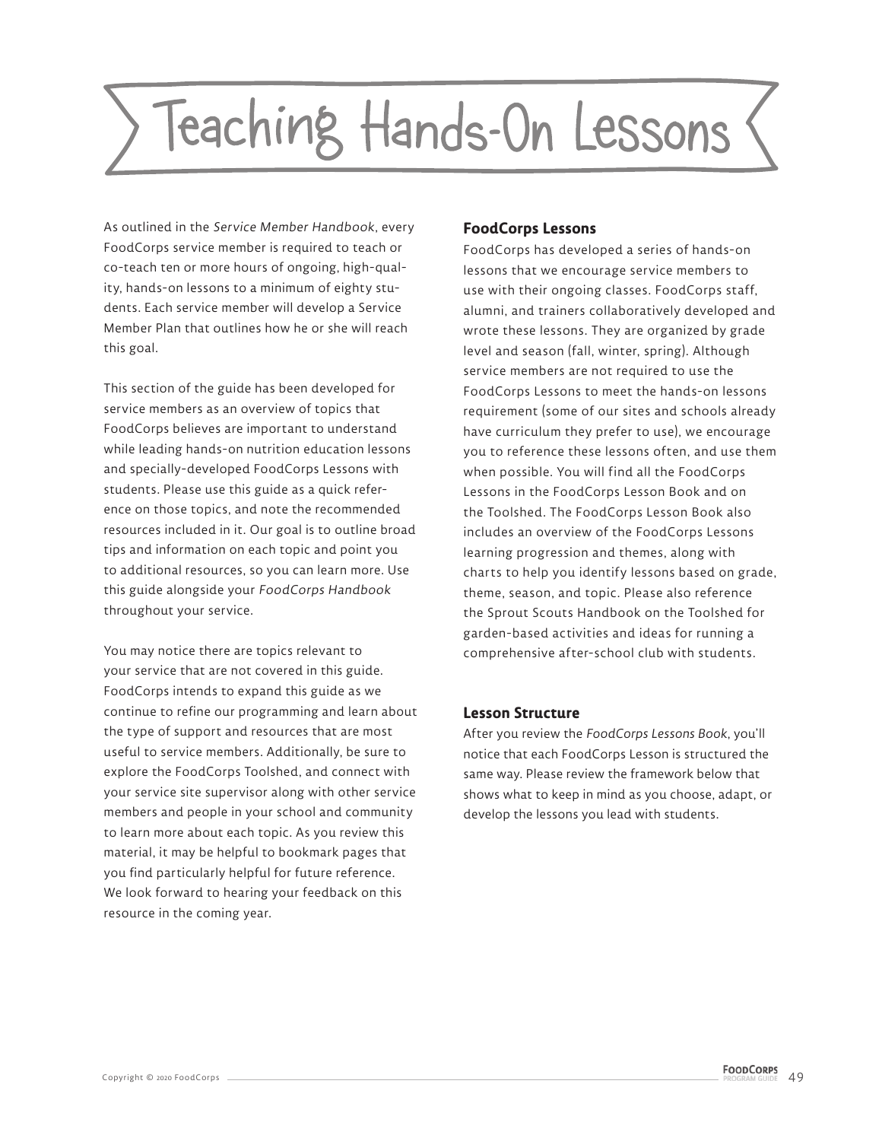# Teaching Hands-On Lessons

As outlined in the Service Member Handbook, every FoodCorps service member is required to teach or co-teach ten or more hours of ongoing, high-quality, hands-on lessons to a minimum of eighty students. Each service member will develop a Service Member Plan that outlines how he or she will reach this goal.

This section of the guide has been developed for service members as an overview of topics that FoodCorps believes are important to understand while leading hands-on nutrition education lessons and specially-developed FoodCorps Lessons with students. Please use this guide as a quick reference on those topics, and note the recommended resources included in it. Our goal is to outline broad tips and information on each topic and point you to additional resources, so you can learn more. Use this guide alongside your FoodCorps Handbook throughout your service.

You may notice there are topics relevant to your service that are not covered in this guide. FoodCorps intends to expand this guide as we continue to refine our programming and learn about the type of support and resources that are most useful to service members. Additionally, be sure to explore the FoodCorps Toolshed, and connect with your service site supervisor along with other service members and people in your school and community to learn more about each topic. As you review this material, it may be helpful to bookmark pages that you find particularly helpful for future reference. We look forward to hearing your feedback on this resource in the coming year.

### **FoodCorps Lessons**

FoodCorps has developed a series of hands-on lessons that we encourage service members to use with their ongoing classes. FoodCorps staff, alumni, and trainers collaboratively developed and wrote these lessons. They are organized by grade level and season (fall, winter, spring). Although service members are not required to use the FoodCorps Lessons to meet the hands-on lessons requirement (some of our sites and schools already have curriculum they prefer to use), we encourage you to reference these lessons often, and use them when possible. You will find all the FoodCorps Lessons in the FoodCorps Lesson Book and on the Toolshed. The FoodCorps Lesson Book also includes an overview of the FoodCorps Lessons learning progression and themes, along with charts to help you identify lessons based on grade, theme, season, and topic. Please also reference the Sprout Scouts Handbook on the Toolshed for garden-based activities and ideas for running a comprehensive after-school club with students.

### **Lesson Structure**

After you review the *FoodCorps Lessons Book*, you'll notice that each FoodCorps Lesson is structured the same way. Please review the framework below that shows what to keep in mind as you choose, adapt, or develop the lessons you lead with students.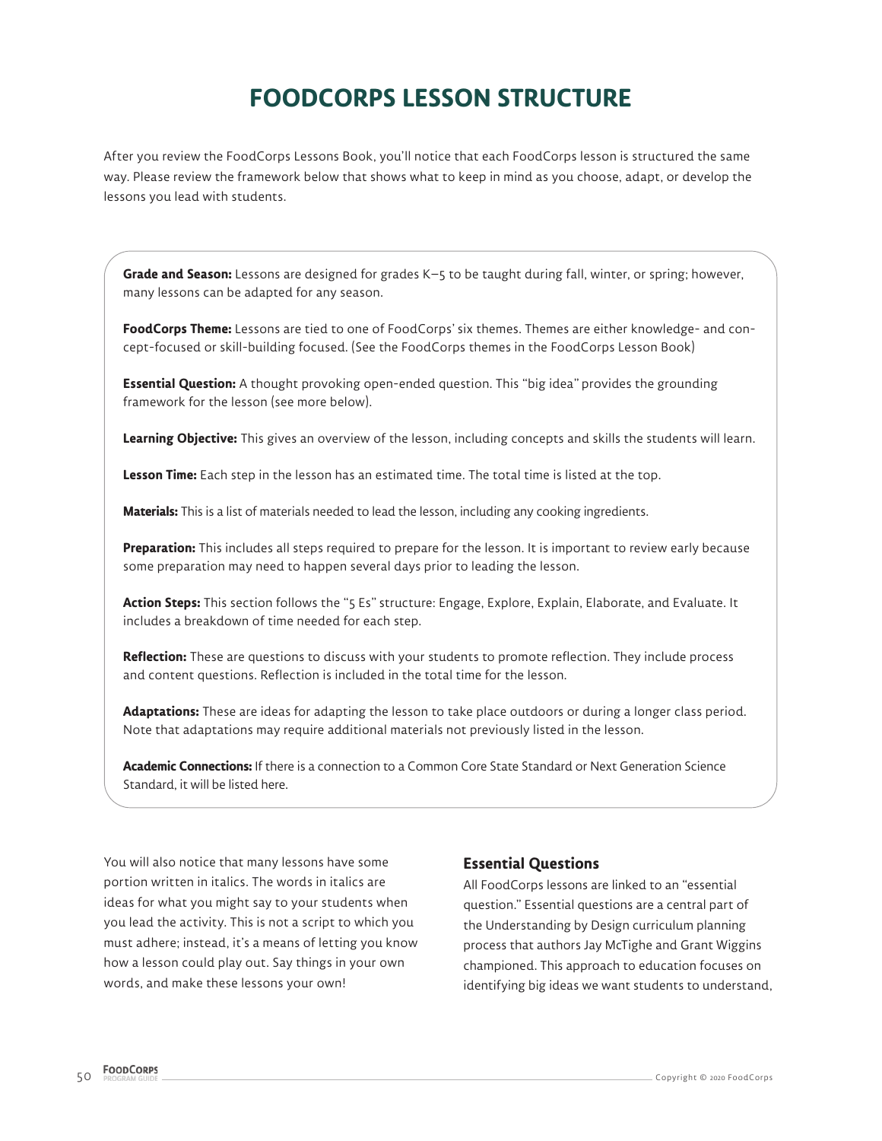# **FOODCORPS LESSON STRUCTURE**

After you review the FoodCorps Lessons Book, you'll notice that each FoodCorps lesson is structured the same way. Please review the framework below that shows what to keep in mind as you choose, adapt, or develop the lessons you lead with students.

**Grade and Season:** Lessons are designed for grades K–5 to be taught during fall, winter, or spring; however, many lessons can be adapted for any season.

**FoodCorps Theme:** Lessons are tied to one of FoodCorps' six themes. Themes are either knowledge- and concept-focused or skill-building focused. (See the FoodCorps themes in the FoodCorps Lesson Book)

**Essential Question:** A thought provoking open-ended question. This "big idea" provides the grounding framework for the lesson (see more below).

**Learning Objective:** This gives an overview of the lesson, including concepts and skills the students will learn.

**Lesson Time:** Each step in the lesson has an estimated time. The total time is listed at the top.

**Materials:** This is a list of materials needed to lead the lesson, including any cooking ingredients.

**Preparation:** This includes all steps required to prepare for the lesson. It is important to review early because some preparation may need to happen several days prior to leading the lesson.

**Action Steps:** This section follows the "5 Es" structure: Engage, Explore, Explain, Elaborate, and Evaluate. It includes a breakdown of time needed for each step.

**Reflection:** These are questions to discuss with your students to promote reflection. They include process and content questions. Reflection is included in the total time for the lesson.

**Adaptations:** These are ideas for adapting the lesson to take place outdoors or during a longer class period. Note that adaptations may require additional materials not previously listed in the lesson.

**Academic Connections:** If there is a connection to a Common Core State Standard or Next Generation Science Standard, it will be listed here.

You will also notice that many lessons have some portion written in italics. The words in italics are ideas for what you might say to your students when you lead the activity. This is not a script to which you must adhere; instead, it's a means of letting you know how a lesson could play out. Say things in your own words, and make these lessons your own!

### **Essential Questions**

All FoodCorps lessons are linked to an "essential question." Essential questions are a central part of the Understanding by Design curriculum planning process that authors Jay McTighe and Grant Wiggins championed. This approach to education focuses on identifying big ideas we want students to understand,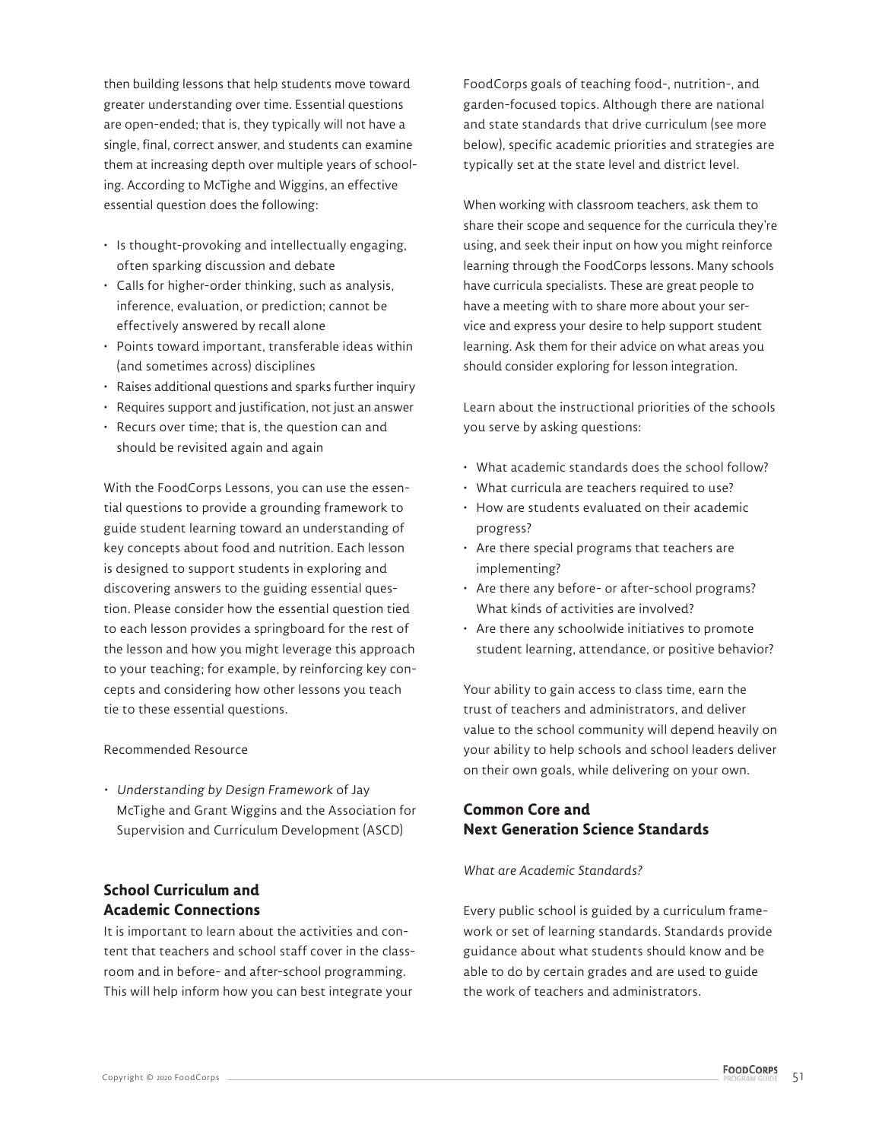then building lessons that help students move toward greater understanding over time. Essential questions are open-ended; that is, they typically will not have a single, final, correct answer, and students can examine them at increasing depth over multiple years of schooling. According to McTighe and Wiggins, an effective essential question does the following:

- Is thought-provoking and intellectually engaging, often sparking discussion and debate
- Calls for higher-order thinking, such as analysis, inference, evaluation, or prediction; cannot be effectively answered by recall alone
- Points toward important, transferable ideas within (and sometimes across) disciplines
- Raises additional questions and sparks further inquiry
- Requires support and justification, not just an answer
- Recurs over time; that is, the question can and should be revisited again and again

With the FoodCorps Lessons, you can use the essential questions to provide a grounding framework to guide student learning toward an understanding of key concepts about food and nutrition. Each lesson is designed to support students in exploring and discovering answers to the guiding essential question. Please consider how the essential question tied to each lesson provides a springboard for the rest of the lesson and how you might leverage this approach to your teaching; for example, by reinforcing key concepts and considering how other lessons you teach tie to these essential questions.

#### Recommended Resource

• Understanding by Design Framework of Jay McTighe and Grant Wiggins and the Association for Supervision and Curriculum Development (ASCD)

## **School Curriculum and Academic Connections**

It is important to learn about the activities and content that teachers and school staff cover in the classroom and in before- and after-school programming. This will help inform how you can best integrate your

FoodCorps goals of teaching food-, nutrition-, and garden-focused topics. Although there are national and state standards that drive curriculum (see more below), specific academic priorities and strategies are typically set at the state level and district level.

When working with classroom teachers, ask them to share their scope and sequence for the curricula they're using, and seek their input on how you might reinforce learning through the FoodCorps lessons. Many schools have curricula specialists. These are great people to have a meeting with to share more about your service and express your desire to help support student learning. Ask them for their advice on what areas you should consider exploring for lesson integration.

Learn about the instructional priorities of the schools you serve by asking questions:

- What academic standards does the school follow?
- What curricula are teachers required to use?
- How are students evaluated on their academic progress?
- Are there special programs that teachers are implementing?
- Are there any before- or after-school programs? What kinds of activities are involved?
- Are there any schoolwide initiatives to promote student learning, attendance, or positive behavior?

Your ability to gain access to class time, earn the trust of teachers and administrators, and deliver value to the school community will depend heavily on your ability to help schools and school leaders deliver on their own goals, while delivering on your own.

# **Common Core and Next Generation Science Standards**

### *What are Academic Standards?*

Every public school is guided by a curriculum framework or set of learning standards. Standards provide guidance about what students should know and be able to do by certain grades and are used to guide the work of teachers and administrators.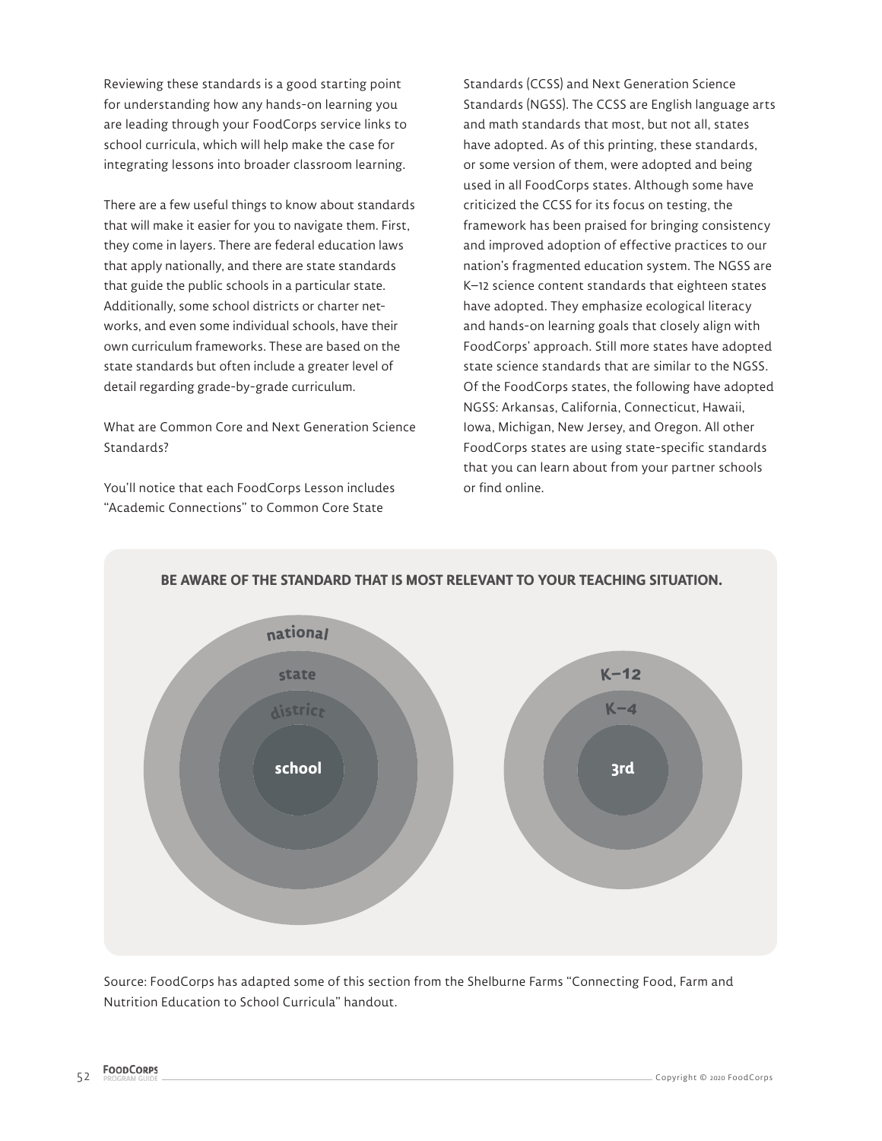Reviewing these standards is a good starting point for understanding how any hands-on learning you are leading through your FoodCorps service links to school curricula, which will help make the case for integrating lessons into broader classroom learning.

There are a few useful things to know about standards that will make it easier for you to navigate them. First, they come in layers. There are federal education laws that apply nationally, and there are state standards that guide the public schools in a particular state. Additionally, some school districts or charter networks, and even some individual schools, have their own curriculum frameworks. These are based on the state standards but often include a greater level of detail regarding grade-by-grade curriculum.

What are Common Core and Next Generation Science Standards?

You'll notice that each FoodCorps Lesson includes "Academic Connections" to Common Core State

Standards (CCSS) and Next Generation Science Standards (NGSS). The CCSS are English language arts and math standards that most, but not all, states have adopted. As of this printing, these standards, or some version of them, were adopted and being used in all FoodCorps states. Although some have criticized the CCSS for its focus on testing, the framework has been praised for bringing consistency and improved adoption of effective practices to our nation's fragmented education system. The NGSS are K–12 science content standards that eighteen states have adopted. They emphasize ecological literacy and hands-on learning goals that closely align with FoodCorps' approach. Still more states have adopted state science standards that are similar to the NGSS. Of the FoodCorps states, the following have adopted NGSS: Arkansas, California, Connecticut, Hawaii, Iowa, Michigan, New Jersey, and Oregon. All other FoodCorps states are using state-specific standards that you can learn about from your partner schools or find online.



**BE AWARE OF THE STANDARD THAT IS MOST RELEVANT TO YOUR TEACHING SITUATION.**

Source: FoodCorps has adapted some of this section from the Shelburne Farms "Connecting Food, Farm and Nutrition Education to School Curricula" handout.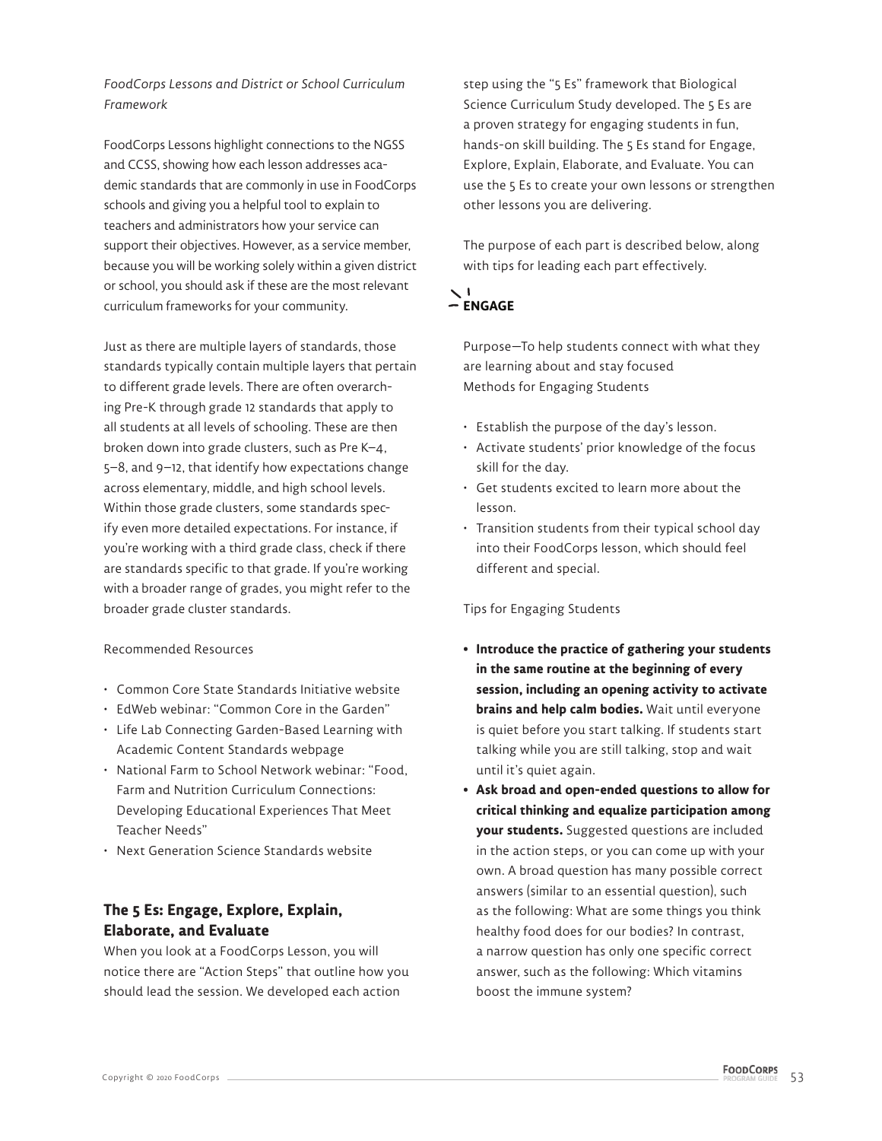*FoodCorps Lessons and District or School Curriculum Framework*

FoodCorps Lessons highlight connections to the NGSS and CCSS, showing how each lesson addresses academic standards that are commonly in use in FoodCorps schools and giving you a helpful tool to explain to teachers and administrators how your service can support their objectives. However, as a service member, because you will be working solely within a given district or school, you should ask if these are the most relevant curriculum frameworks for your community.

Just as there are multiple layers of standards, those standards typically contain multiple layers that pertain to different grade levels. There are often overarching Pre-K through grade 12 standards that apply to all students at all levels of schooling. These are then broken down into grade clusters, such as Pre K–4, 5–8, and 9–12, that identify how expectations change across elementary, middle, and high school levels. Within those grade clusters, some standards specify even more detailed expectations. For instance, if you're working with a third grade class, check if there are standards specific to that grade. If you're working with a broader range of grades, you might refer to the broader grade cluster standards.

### Recommended Resources

- Common Core State Standards Initiative website
- EdWeb webinar: "Common Core in the Garden"
- Life Lab Connecting Garden-Based Learning with Academic Content Standards webpage
- National Farm to School Network webinar: "Food, Farm and Nutrition Curriculum Connections: Developing Educational Experiences That Meet Teacher Needs"
- Next Generation Science Standards website

### **The 5 Es: Engage, Explore, Explain, Elaborate, and Evaluate**

When you look at a FoodCorps Lesson, you will notice there are "Action Steps" that outline how you should lead the session. We developed each action

step using the "5 Es" framework that Biological Science Curriculum Study developed. The 5 Es are a proven strategy for engaging students in fun, hands-on skill building. The 5 Es stand for Engage, Explore, Explain, Elaborate, and Evaluate. You can use the 5 Es to create your own lessons or strengthen other lessons you are delivering.

The purpose of each part is described below, along with tips for leading each part effectively.

# $\geq$ <sup>1</sup><br>  $-$  ENGAGE

Purpose—To help students connect with what they are learning about and stay focused Methods for Engaging Students

- Establish the purpose of the day's lesson.
- Activate students' prior knowledge of the focus skill for the day.
- Get students excited to learn more about the lesson.
- Transition students from their typical school day into their FoodCorps lesson, which should feel different and special.

Tips for Engaging Students

- **Introduce the practice of gathering your students in the same routine at the beginning of every session, including an opening activity to activate brains and help calm bodies.** Wait until everyone is quiet before you start talking. If students start talking while you are still talking, stop and wait until it's quiet again.
- **Ask broad and open-ended questions to allow for critical thinking and equalize participation among your students.** Suggested questions are included in the action steps, or you can come up with your own. A broad question has many possible correct answers (similar to an essential question), such as the following: What are some things you think healthy food does for our bodies? In contrast, a narrow question has only one specific correct answer, such as the following: Which vitamins boost the immune system?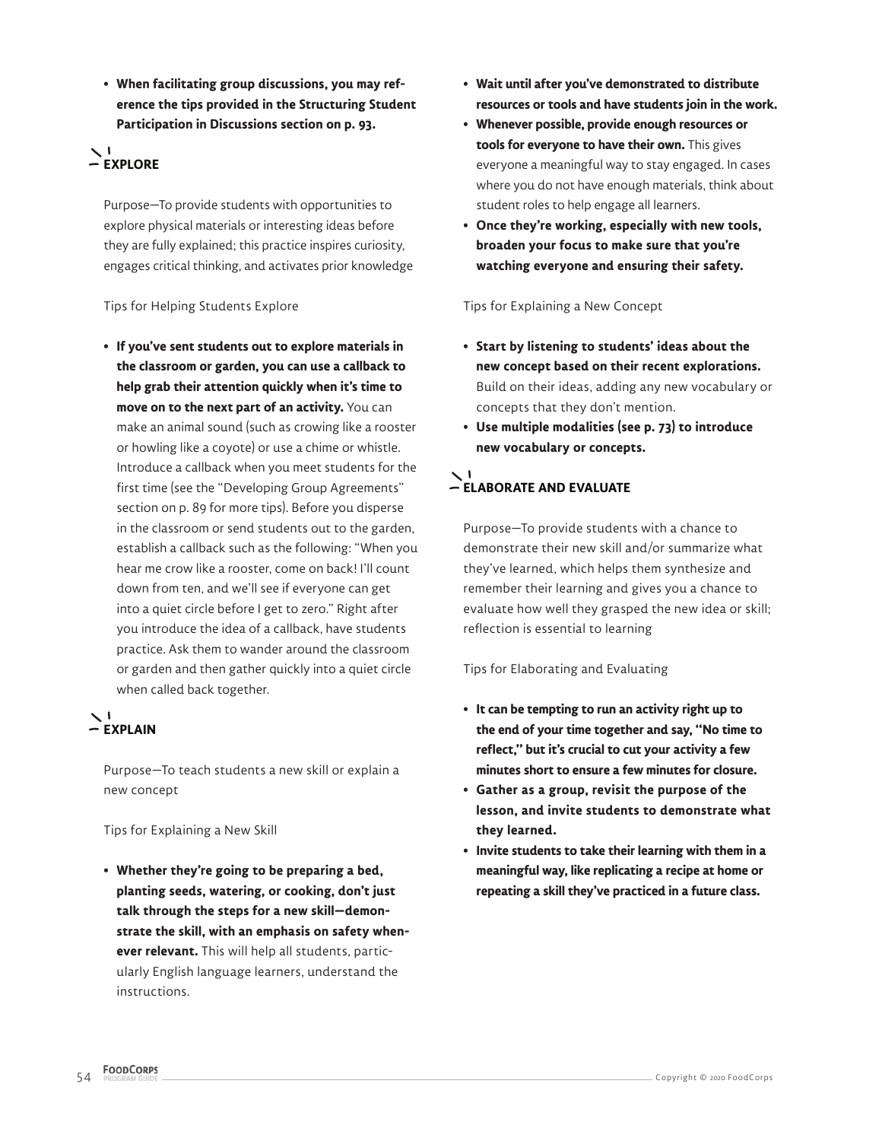**• When facilitating group discussions, you may reference the tips provided in the Structuring Student Participation in Discussions section on p. 93.**

# $\geq$ <sup>1</sup><br>  $\sim$  EXPLORE

Purpose—To provide students with opportunities to explore physical materials or interesting ideas before they are fully explained; this practice inspires curiosity, engages critical thinking, and activates prior knowledge

### Tips for Helping Students Explore

**• If you've sent students out to explore materials in the classroom or garden, you can use a callback to help grab their attention quickly when it's time to move on to the next part of an activity.** You can make an animal sound (such as crowing like a rooster or howling like a coyote) or use a chime or whistle. Introduce a callback when you meet students for the first time (see the "Developing Group Agreements" section on p. 89 for more tips). Before you disperse in the classroom or send students out to the garden, establish a callback such as the following: "When you hear me crow like a rooster, come on back! I'll count down from ten, and we'll see if everyone can get into a quiet circle before I get to zero." Right after you introduce the idea of a callback, have students practice. Ask them to wander around the classroom or garden and then gather quickly into a quiet circle when called back together.

# **EXPLAIN**

Purpose—To teach students a new skill or explain a new concept

Tips for Explaining a New Skill

**• Whether they're going to be preparing a bed, planting seeds, watering, or cooking, don't just talk through the steps for a new skill—demonstrate the skill, with an emphasis on safety whenever relevant.** This will help all students, particularly English language learners, understand the instructions.

- **Wait until after you've demonstrated to distribute resources or tools and have students join in the work.**
- **Whenever possible, provide enough resources or tools for everyone to have their own.** This gives everyone a meaningful way to stay engaged. In cases where you do not have enough materials, think about student roles to help engage all learners.
- **Once they're working, especially with new tools, broaden your focus to make sure that you're watching everyone and ensuring their safety.**

Tips for Explaining a New Concept

- **Start by listening to students' ideas about the new concept based on their recent explorations.** Build on their ideas, adding any new vocabulary or concepts that they don't mention.
- **Use multiple modalities (see p. 73) to introduce new vocabulary or concepts.**

# **ELABORATE AND EVALUATE**

Purpose—To provide students with a chance to demonstrate their new skill and/or summarize what they've learned, which helps them synthesize and remember their learning and gives you a chance to evaluate how well they grasped the new idea or skill; reflection is essential to learning

### Tips for Elaborating and Evaluating

- **It can be tempting to run an activity right up to the end of your time together and say, "No time to reflect," but it's crucial to cut your activity a few minutes short to ensure a few minutes for closure.**
- **Gather as a group, revisit the purpose of the lesson, and invite students to demonstrate what they learned.**
- **Invite students to take their learning with them in a meaningful way, like replicating a recipe at home or repeating a skill they've practiced in a future class.**